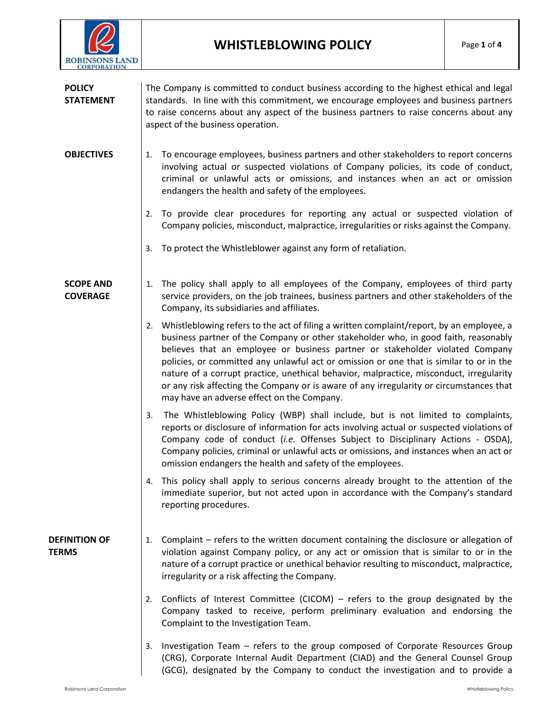

| <b>POLICY</b><br><b>STATEMENT</b>    | The Company is committed to conduct business according to the highest ethical and legal<br>standards. In line with this commitment, we encourage employees and business partners<br>to raise concerns about any aspect of the business partners to raise concerns about any<br>aspect of the business operation.                                                                                                                                                                                                                                                                                   |
|--------------------------------------|----------------------------------------------------------------------------------------------------------------------------------------------------------------------------------------------------------------------------------------------------------------------------------------------------------------------------------------------------------------------------------------------------------------------------------------------------------------------------------------------------------------------------------------------------------------------------------------------------|
| <b>OBJECTIVES</b>                    | To encourage employees, business partners and other stakeholders to report concerns<br>1.<br>involving actual or suspected violations of Company policies, its code of conduct,<br>criminal or unlawful acts or omissions, and instances when an act or omission<br>endangers the health and safety of the employees.                                                                                                                                                                                                                                                                              |
|                                      | To provide clear procedures for reporting any actual or suspected violation of<br>2.<br>Company policies, misconduct, malpractice, irregularities or risks against the Company.                                                                                                                                                                                                                                                                                                                                                                                                                    |
|                                      | To protect the Whistleblower against any form of retaliation.<br>3.                                                                                                                                                                                                                                                                                                                                                                                                                                                                                                                                |
| <b>SCOPE AND</b><br><b>COVERAGE</b>  | The policy shall apply to all employees of the Company, employees of third party<br>1.<br>service providers, on the job trainees, business partners and other stakeholders of the<br>Company, its subsidiaries and affiliates.                                                                                                                                                                                                                                                                                                                                                                     |
|                                      | 2. Whistleblowing refers to the act of filing a written complaint/report, by an employee, a<br>business partner of the Company or other stakeholder who, in good faith, reasonably<br>believes that an employee or business partner or stakeholder violated Company<br>policies, or committed any unlawful act or omission or one that is similar to or in the<br>nature of a corrupt practice, unethical behavior, malpractice, misconduct, irregularity<br>or any risk affecting the Company or is aware of any irregularity or circumstances that<br>may have an adverse effect on the Company. |
|                                      | The Whistleblowing Policy (WBP) shall include, but is not limited to complaints,<br>3.<br>reports or disclosure of information for acts involving actual or suspected violations of<br>Company code of conduct (i.e. Offenses Subject to Disciplinary Actions - OSDA),<br>Company policies, criminal or unlawful acts or omissions, and instances when an act or<br>omission endangers the health and safety of the employees.                                                                                                                                                                     |
|                                      | This policy shall apply to serious concerns already brought to the attention of the<br>4.<br>immediate superior, but not acted upon in accordance with the Company's standard<br>reporting procedures.                                                                                                                                                                                                                                                                                                                                                                                             |
| <b>DEFINITION OF</b><br><b>TERMS</b> | Complaint – refers to the written document containing the disclosure or allegation of<br>1.<br>violation against Company policy, or any act or omission that is similar to or in the<br>nature of a corrupt practice or unethical behavior resulting to misconduct, malpractice,<br>irregularity or a risk affecting the Company.                                                                                                                                                                                                                                                                  |
|                                      | Conflicts of Interest Committee (CICOM) – refers to the group designated by the<br>2.<br>Company tasked to receive, perform preliminary evaluation and endorsing the<br>Complaint to the Investigation Team.                                                                                                                                                                                                                                                                                                                                                                                       |
|                                      | Investigation Team – refers to the group composed of Corporate Resources Group<br>3.<br>(CRG), Corporate Internal Audit Department (CIAD) and the General Counsel Group<br>(GCG), designated by the Company to conduct the investigation and to provide a                                                                                                                                                                                                                                                                                                                                          |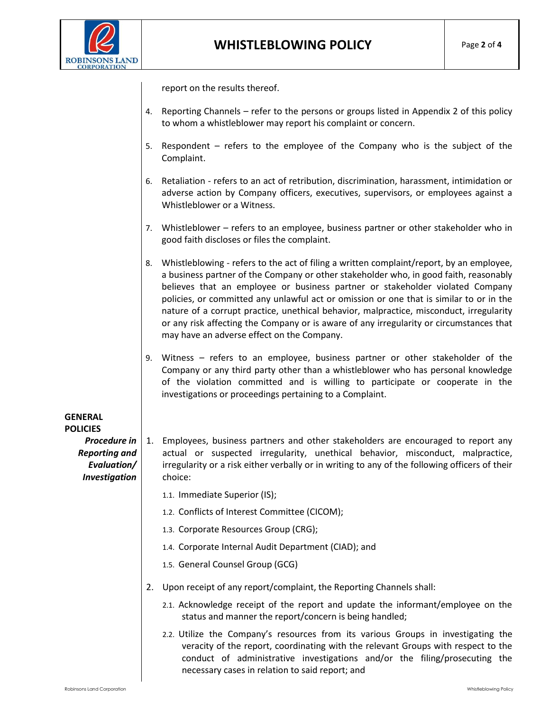

report on the results thereof.

- 4. Reporting Channels refer to the persons or groups listed in Appendix 2 of this policy to whom a whistleblower may report his complaint or concern.
- 5. Respondent refers to the employee of the Company who is the subject of the Complaint.
- 6. Retaliation refers to an act of retribution, discrimination, harassment, intimidation or adverse action by Company officers, executives, supervisors, or employees against a Whistleblower or a Witness.
- 7. Whistleblower refers to an employee, business partner or other stakeholder who in good faith discloses or files the complaint.
- 8. Whistleblowing refers to the act of filing a written complaint/report, by an employee, a business partner of the Company or other stakeholder who, in good faith, reasonably believes that an employee or business partner or stakeholder violated Company policies, or committed any unlawful act or omission or one that is similar to or in the nature of a corrupt practice, unethical behavior, malpractice, misconduct, irregularity or any risk affecting the Company or is aware of any irregularity or circumstances that may have an adverse effect on the Company.
- 9. Witness refers to an employee, business partner or other stakeholder of the Company or any third party other than a whistleblower who has personal knowledge of the violation committed and is willing to participate or cooperate in the investigations or proceedings pertaining to a Complaint.

**GENERAL POLICIES** *Procedure in Reporting and Evaluation/ Investigation* 

- 1. Employees, business partners and other stakeholders are encouraged to report any actual or suspected irregularity, unethical behavior, misconduct, malpractice, irregularity or a risk either verbally or in writing to any of the following officers of their choice:
	- 1.1. Immediate Superior (IS);
	- 1.2. Conflicts of Interest Committee (CICOM);
	- 1.3. Corporate Resources Group (CRG);
	- 1.4. Corporate Internal Audit Department (CIAD); and
	- 1.5. General Counsel Group (GCG)
- 2. Upon receipt of any report/complaint, the Reporting Channels shall:
	- 2.1. Acknowledge receipt of the report and update the informant/employee on the status and manner the report/concern is being handled;
	- 2.2. Utilize the Company's resources from its various Groups in investigating the veracity of the report, coordinating with the relevant Groups with respect to the conduct of administrative investigations and/or the filing/prosecuting the necessary cases in relation to said report; and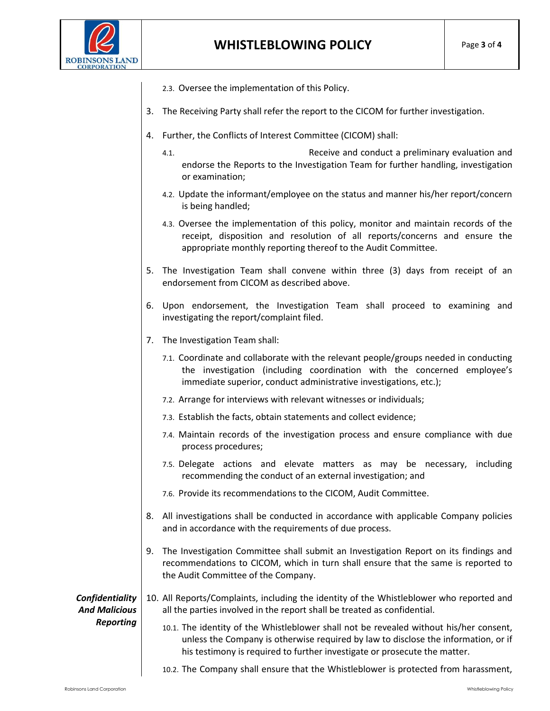

- 2.3. Oversee the implementation of this Policy.
- 3. The Receiving Party shall refer the report to the CICOM for further investigation.
- 4. Further, the Conflicts of Interest Committee (CICOM) shall:
	- 4.1. Receive and conduct a preliminary evaluation and endorse the Reports to the Investigation Team for further handling, investigation or examination;
	- 4.2. Update the informant/employee on the status and manner his/her report/concern is being handled;
	- 4.3. Oversee the implementation of this policy, monitor and maintain records of the receipt, disposition and resolution of all reports/concerns and ensure the appropriate monthly reporting thereof to the Audit Committee.
- 5. The Investigation Team shall convene within three (3) days from receipt of an endorsement from CICOM as described above.
- 6. Upon endorsement, the Investigation Team shall proceed to examining and investigating the report/complaint filed.
- 7. The Investigation Team shall:
	- 7.1. Coordinate and collaborate with the relevant people/groups needed in conducting the investigation (including coordination with the concerned employee's immediate superior, conduct administrative investigations, etc.);
	- 7.2. Arrange for interviews with relevant witnesses or individuals;
	- 7.3. Establish the facts, obtain statements and collect evidence;
	- 7.4. Maintain records of the investigation process and ensure compliance with due process procedures;
	- 7.5. Delegate actions and elevate matters as may be necessary, including recommending the conduct of an external investigation; and
	- 7.6. Provide its recommendations to the CICOM, Audit Committee.
- 8. All investigations shall be conducted in accordance with applicable Company policies and in accordance with the requirements of due process.
- 9. The Investigation Committee shall submit an Investigation Report on its findings and recommendations to CICOM, which in turn shall ensure that the same is reported to the Audit Committee of the Company.

*Confidentiality And Malicious Reporting*

- 10. All Reports/Complaints, including the identity of the Whistleblower who reported and all the parties involved in the report shall be treated as confidential.
	- 10.1. The identity of the Whistleblower shall not be revealed without his/her consent, unless the Company is otherwise required by law to disclose the information, or if his testimony is required to further investigate or prosecute the matter.
	- 10.2. The Company shall ensure that the Whistleblower is protected from harassment,